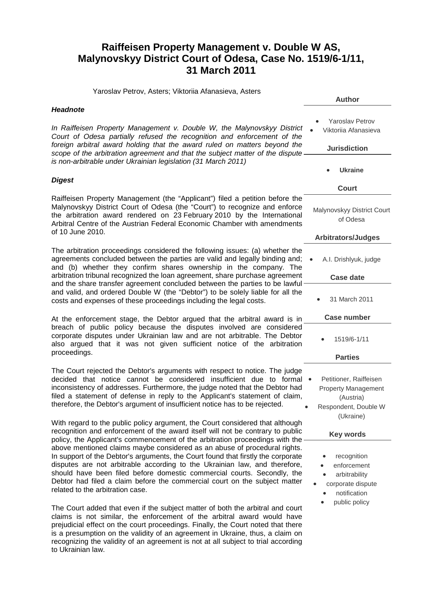## **Raiffeisen Property Management v. Double W AS, Malynovskyy District Court of Odesa, Case No. 1519/6-1/11, 31 March 2011**

Yaroslav Petrov, Asters; Viktoriia Afanasieva, Asters

| <b>Headnote</b> |  |
|-----------------|--|
|-----------------|--|

In Raiffeisen Property Management v. Double W, the Malynovskyy Disti *Court of Odesa partially refused the recognition and enforcement of the foreign arbitral award holding that the award ruled on matters beyond* scope of the arbitration agreement and that the subject matter of the dispi *is non-arbitrable under Ukrainian legislation (31 March 2011)*

## *Digest*

Raiffeisen Property Management (the "Applicant") filed a petition before Malynovskyy District Court of Odesa (the "Court") to recognize and enfor the arbitration award rendered on 23 February 2010 by the Internation Arbitral Centre of the Austrian Federal Economic Chamber with amendment of 10 June 2010.

The arbitration proceedings considered the following issues: (a) whether agreements concluded between the parties are valid and legally binding and and (b) whether they confirm shares ownership in the company. The arbitration tribunal recognized the loan agreement, share purchase agreement and the share transfer agreement concluded between the parties to be law and valid, and ordered Double W (the "Debtor") to be solely liable for all costs and expenses of these proceedings including the legal costs.

At the enforcement stage, the Debtor argued that the arbitral award is breach of public policy because the disputes involved are consider corporate disputes under Ukrainian law and are not arbitrable. The Debtor also argued that it was not given sufficient notice of the arbitration proceedings.

The Court rejected the Debtor's arguments with respect to notice. The judget decided that notice cannot be considered insufficient due to form inconsistency of addresses. Furthermore, the judge noted that the Debtor h filed a statement of defense in reply to the Applicant's statement of clai therefore, the Debtor's argument of insufficient notice has to be rejected.

With regard to the public policy argument, the Court considered that althought recognition and enforcement of the award itself will not be contrary to pub policy, the Applicant's commencement of the arbitration proceedings with above mentioned claims maybe considered as an abuse of procedural rights. In support of the Debtor's arguments, the Court found that firstly the corporation disputes are not arbitrable according to the Ukrainian law, and therefore should have been filed before domestic commercial courts. Secondly, Debtor had filed a claim before the commercial court on the subject mat related to the arbitration case.

The Court added that even if the subject matter of both the arbitral and co claims is not similar, the enforcement of the arbitral award would have prejudicial effect on the court proceedings. Finally, the Court noted that there is a presumption on the validity of an agreement in Ukraine, thus, a claim on recognizing the validity of an agreement is not at all subject to trial according to Ukrainian law.

|                                   | <b>Author</b>                                                                             |
|-----------------------------------|-------------------------------------------------------------------------------------------|
| trict:<br>the                     | <b>Yaroslav Petrov</b><br>Viktoriia Afanasieva                                            |
| the<br>ute.                       | <b>Jurisdiction</b>                                                                       |
|                                   | <b>Ukraine</b>                                                                            |
|                                   | Court                                                                                     |
| the<br>rce<br>nal<br>nts          | Malynovskyy District Court<br>of Odesa                                                    |
|                                   | <b>Arbitrators/Judges</b>                                                                 |
| the<br>nd:<br>he-                 | A.I. Drishlyuk, judge                                                                     |
| ent                               | <b>Case date</b>                                                                          |
| vful<br>the                       | 31 March 2011                                                                             |
| in -                              | <b>Case number</b>                                                                        |
| red<br>tor<br>ion                 | 1519/6-1/11                                                                               |
|                                   | <b>Parties</b>                                                                            |
| lge<br>nal<br>າad<br>im,          | Petitioner, Raiffeisen<br><b>Property Management</b><br>(Austria)<br>Respondent, Double W |
|                                   | (Ukraine)                                                                                 |
| ıgh<br>olic<br>the                | <b>Key words</b>                                                                          |
| its.<br>ate<br>re,<br>the<br>tter | recognition<br>enforcement<br>arbitrability<br>corporate dispute<br>notification          |
| յurt                              | public policy                                                                             |